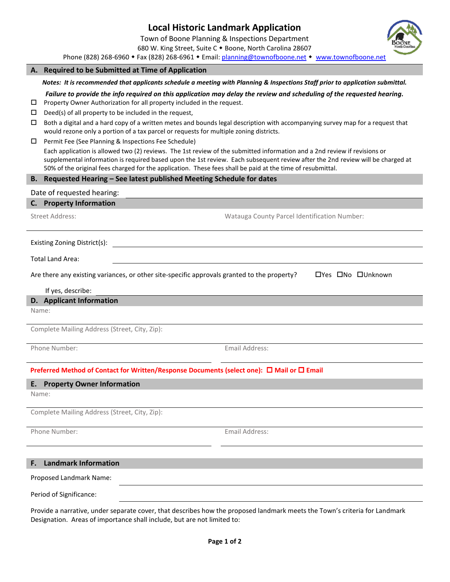# **Local Historic Landmark Application**

Town of Boone Planning & Inspections Department

680 W. King Street, Suite C . Boone, North Carolina 28607

Phone (828) 268-6960 • Fax (828) 268-6961 • Email: [planning@townofboone.net](mailto:planning@townofboone.net) • [www.townofboone.net](http://www.townofboone.net/)

### **A. Required to be Submitted at Time of Application**

*Notes: It is recommended that applicants schedule a meeting with Planning & Inspections Staff prior to application submittal.*

- *Failure to provide the info required on this application may delay the review and scheduling of the requested hearing.*
- $\square$  Property Owner Authorization for all property included in the request.
- $\square$  Deed(s) of all property to be included in the request,
- $\Box$  Both a digital and a hard copy of a written metes and bounds legal description with accompanying survey map for a request that would rezone only a portion of a tax parcel or requests for multiple zoning districts.
- □ Permit Fee (See Planning & Inspections Fee Schedule)

Each application is allowed two (2) reviews. The 1st review of the submitted information and a 2nd review if revisions or supplemental information is required based upon the 1st review. Each subsequent review after the 2nd review will be charged at 50% of the original fees charged for the application. These fees shall be paid at the time of resubmittal.

## **B. Requested Hearing – See latest published Meeting Schedule for dates**

| Date of requested hearing:                                                                 |                                                                                                                                                                                                                                |
|--------------------------------------------------------------------------------------------|--------------------------------------------------------------------------------------------------------------------------------------------------------------------------------------------------------------------------------|
| C. Property Information                                                                    |                                                                                                                                                                                                                                |
| <b>Street Address:</b>                                                                     | Watauga County Parcel Identification Number:                                                                                                                                                                                   |
|                                                                                            | Existing Zoning District(s): Notified that the set of the set of the set of the set of the set of the set of the set of the set of the set of the set of the set of the set of the set of the set of the set of the set of the |
| <b>Total Land Area:</b>                                                                    |                                                                                                                                                                                                                                |
| If yes, describe:                                                                          | Are there any existing variances, or other site-specific approvals granted to the property?<br>□Yes □No □Unknown                                                                                                               |
| D. Applicant Information                                                                   |                                                                                                                                                                                                                                |
| Name:                                                                                      |                                                                                                                                                                                                                                |
| Complete Mailing Address (Street, City, Zip):                                              |                                                                                                                                                                                                                                |
| Phone Number:                                                                              | Email Address:                                                                                                                                                                                                                 |
| Preferred Method of Contact for Written/Response Documents (select one): □ Mail or □ Email |                                                                                                                                                                                                                                |
| <b>E.</b> Property Owner Information                                                       |                                                                                                                                                                                                                                |
| Name:                                                                                      |                                                                                                                                                                                                                                |
| Complete Mailing Address (Street, City, Zip):                                              |                                                                                                                                                                                                                                |
| Phone Number:                                                                              | Email Address:                                                                                                                                                                                                                 |

### **F. Landmark Information**

Proposed Landmark Name:

Period of Significance:

Provide a narrative, under separate cover, that describes how the proposed landmark meets the Town's criteria for Landmark Designation. Areas of importance shall include, but are not limited to: